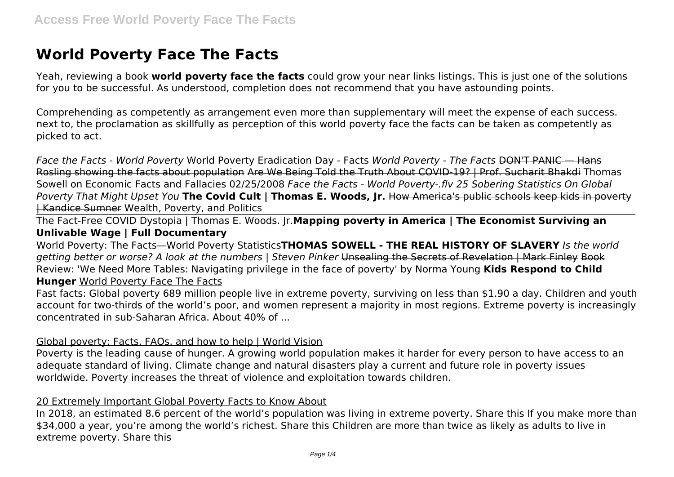# **World Poverty Face The Facts**

Yeah, reviewing a book **world poverty face the facts** could grow your near links listings. This is just one of the solutions for you to be successful. As understood, completion does not recommend that you have astounding points.

Comprehending as competently as arrangement even more than supplementary will meet the expense of each success. next to, the proclamation as skillfully as perception of this world poverty face the facts can be taken as competently as picked to act.

*Face the Facts - World Poverty* World Poverty Eradication Day - Facts *World Poverty - The Facts* DON'T PANIC — Hans Rosling showing the facts about population Are We Being Told the Truth About COVID-19? | Prof. Sucharit Bhakdi Thomas Sowell on Economic Facts and Fallacies 02/25/2008 *Face the Facts - World Poverty-.flv 25 Sobering Statistics On Global Poverty That Might Upset You* **The Covid Cult | Thomas E. Woods, Jr.** How America's public schools keep kids in poverty | Kandice Sumner Wealth, Poverty, and Politics

The Fact-Free COVID Dystopia | Thomas E. Woods. Jr.**Mapping poverty in America | The Economist Surviving an Unlivable Wage | Full Documentary**

World Poverty: The Facts—World Poverty Statistics**THOMAS SOWELL - THE REAL HISTORY OF SLAVERY** *Is the world getting better or worse? A look at the numbers | Steven Pinker* Unsealing the Secrets of Revelation | Mark Finley Book Review: 'We Need More Tables: Navigating privilege in the face of poverty' by Norma Young **Kids Respond to Child Hunger** World Poverty Face The Facts

Fast facts: Global poverty 689 million people live in extreme poverty, surviving on less than \$1.90 a day. Children and youth account for two-thirds of the world's poor, and women represent a majority in most regions. Extreme poverty is increasingly concentrated in sub-Saharan Africa. About 40% of ...

#### Global poverty: Facts, FAQs, and how to help | World Vision

Poverty is the leading cause of hunger. A growing world population makes it harder for every person to have access to an adequate standard of living. Climate change and natural disasters play a current and future role in poverty issues worldwide. Poverty increases the threat of violence and exploitation towards children.

#### 20 Extremely Important Global Poverty Facts to Know About

In 2018, an estimated 8.6 percent of the world's population was living in extreme poverty. Share this If you make more than \$34,000 a year, you're among the world's richest. Share this Children are more than twice as likely as adults to live in extreme poverty. Share this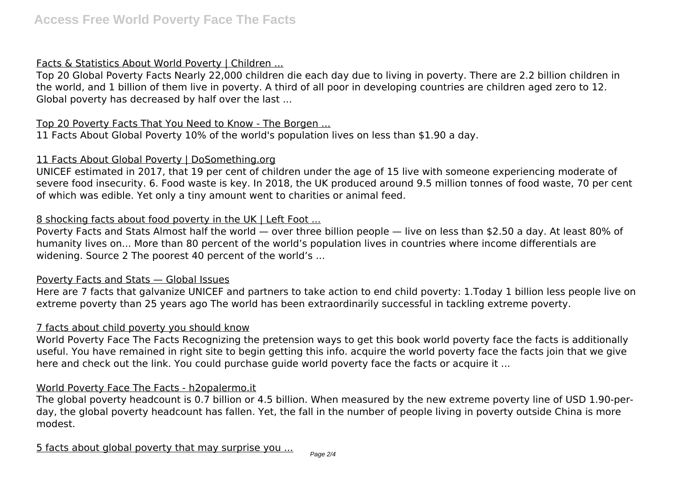## Facts & Statistics About World Poverty | Children ...

Top 20 Global Poverty Facts Nearly 22,000 children die each day due to living in poverty. There are 2.2 billion children in the world, and 1 billion of them live in poverty. A third of all poor in developing countries are children aged zero to 12. Global poverty has decreased by half over the last ...

#### Top 20 Poverty Facts That You Need to Know - The Borgen ...

11 Facts About Global Poverty 10% of the world's population lives on less than \$1.90 a day.

#### 11 Facts About Global Poverty | DoSomething.org

UNICEF estimated in 2017, that 19 per cent of children under the age of 15 live with someone experiencing moderate of severe food insecurity. 6. Food waste is key. In 2018, the UK produced around 9.5 million tonnes of food waste, 70 per cent of which was edible. Yet only a tiny amount went to charities or animal feed.

## 8 shocking facts about food poverty in the UK | Left Foot ...

Poverty Facts and Stats Almost half the world — over three billion people — live on less than \$2.50 a day. At least 80% of humanity lives on... More than 80 percent of the world's population lives in countries where income differentials are widening. Source 2 The poorest 40 percent of the world's ...

## Poverty Facts and Stats — Global Issues

Here are 7 facts that galvanize UNICEF and partners to take action to end child poverty: 1.Today 1 billion less people live on extreme poverty than 25 years ago The world has been extraordinarily successful in tackling extreme poverty.

#### 7 facts about child poverty you should know

World Poverty Face The Facts Recognizing the pretension ways to get this book world poverty face the facts is additionally useful. You have remained in right site to begin getting this info. acquire the world poverty face the facts join that we give here and check out the link. You could purchase quide world poverty face the facts or acquire it ...

## World Poverty Face The Facts - h2opalermo.it

The global poverty headcount is 0.7 billion or 4.5 billion. When measured by the new extreme poverty line of USD 1.90-perday, the global poverty headcount has fallen. Yet, the fall in the number of people living in poverty outside China is more modest.

5 facts about global poverty that may surprise you ...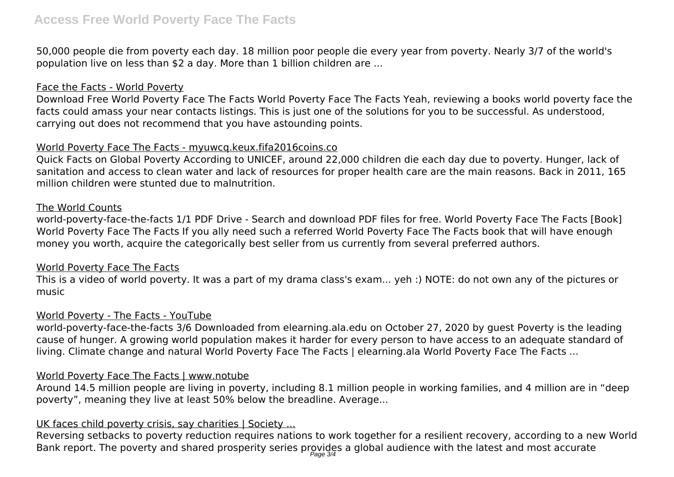50,000 people die from poverty each day. 18 million poor people die every year from poverty. Nearly 3/7 of the world's population live on less than \$2 a day. More than 1 billion children are ...

## Face the Facts - World Poverty

Download Free World Poverty Face The Facts World Poverty Face The Facts Yeah, reviewing a books world poverty face the facts could amass your near contacts listings. This is just one of the solutions for you to be successful. As understood, carrying out does not recommend that you have astounding points.

## World Poverty Face The Facts - myuwcq.keux.fifa2016coins.co

Quick Facts on Global Poverty According to UNICEF, around 22,000 children die each day due to poverty. Hunger, lack of sanitation and access to clean water and lack of resources for proper health care are the main reasons. Back in 2011, 165 million children were stunted due to malnutrition.

#### The World Counts

world-poverty-face-the-facts 1/1 PDF Drive - Search and download PDF files for free. World Poverty Face The Facts [Book] World Poverty Face The Facts If you ally need such a referred World Poverty Face The Facts book that will have enough money you worth, acquire the categorically best seller from us currently from several preferred authors.

## World Poverty Face The Facts

This is a video of world poverty. It was a part of my drama class's exam... yeh :) NOTE: do not own any of the pictures or music

## World Poverty - The Facts - YouTube

world-poverty-face-the-facts 3/6 Downloaded from elearning.ala.edu on October 27, 2020 by guest Poverty is the leading cause of hunger. A growing world population makes it harder for every person to have access to an adequate standard of living. Climate change and natural World Poverty Face The Facts | elearning.ala World Poverty Face The Facts ...

## World Poverty Face The Facts | www.notube

Around 14.5 million people are living in poverty, including 8.1 million people in working families, and 4 million are in "deep poverty", meaning they live at least 50% below the breadline. Average...

## UK faces child poverty crisis, say charities | Society ...

Reversing setbacks to poverty reduction requires nations to work together for a resilient recovery, according to a new World Bank report. The poverty and shared prosperity series provides a global audience with the latest and most accurate